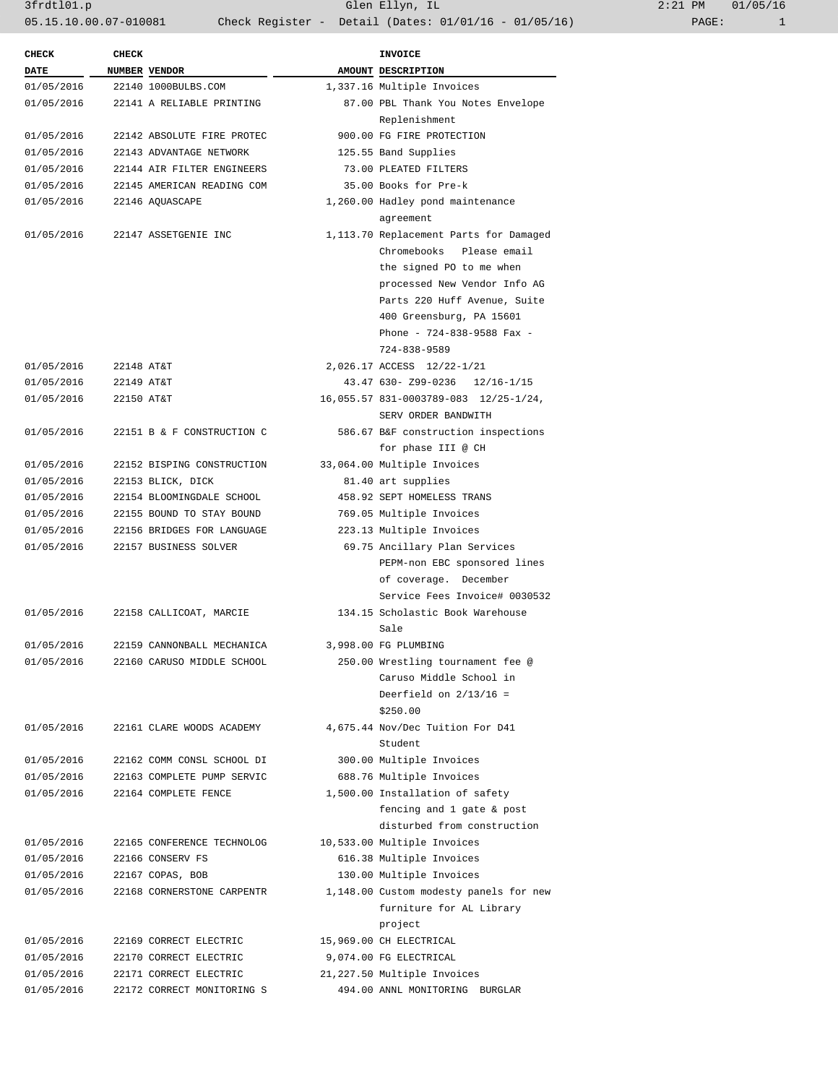3frdtl01.p Glen Ellyn, IL 2:21 PM 01/05/16 05.15.10.00.07-010081 Check Register - Detail (Dates: 01/01/16 - 01/05/16)

| <b>CHECK</b> | <b>CHECK</b> |                            | <b>INVOICE</b>                         |
|--------------|--------------|----------------------------|----------------------------------------|
| <b>DATE</b>  |              | NUMBER VENDOR              | AMOUNT DESCRIPTION                     |
| 01/05/2016   |              | 22140 1000BULBS.COM        | 1,337.16 Multiple Invoices             |
| 01/05/2016   |              | 22141 A RELIABLE PRINTING  | 87.00 PBL Thank You Notes Envelope     |
|              |              |                            | Replenishment                          |
| 01/05/2016   |              | 22142 ABSOLUTE FIRE PROTEC | 900.00 FG FIRE PROTECTION              |
| 01/05/2016   |              | 22143 ADVANTAGE NETWORK    | 125.55 Band Supplies                   |
| 01/05/2016   |              | 22144 AIR FILTER ENGINEERS | 73.00 PLEATED FILTERS                  |
| 01/05/2016   |              | 22145 AMERICAN READING COM | 35.00 Books for Pre-k                  |
| 01/05/2016   |              | 22146 AQUASCAPE            | 1,260.00 Hadley pond maintenance       |
|              |              |                            | agreement                              |
| 01/05/2016   |              | 22147 ASSETGENIE INC       | 1,113.70 Replacement Parts for Damaged |
|              |              |                            | Chromebooks Please email               |
|              |              |                            | the signed PO to me when               |
|              |              |                            | processed New Vendor Info AG           |
|              |              |                            | Parts 220 Huff Avenue, Suite           |
|              |              |                            | 400 Greensburg, PA 15601               |
|              |              |                            | Phone - 724-838-9588 Fax -             |
|              |              |                            | 724-838-9589                           |
| 01/05/2016   | 22148 AT&T   |                            | 2,026.17 ACCESS 12/22-1/21             |
| 01/05/2016   | 22149 AT&T   |                            | 43.47 630- Z99-0236 12/16-1/15         |
| 01/05/2016   | 22150 AT&T   |                            | 16,055.57 831-0003789-083 12/25-1/24,  |
|              |              |                            | SERV ORDER BANDWITH                    |
|              |              | 22151 B & F CONSTRUCTION C |                                        |
| 01/05/2016   |              |                            | 586.67 B&F construction inspections    |
|              |              |                            | for phase III @ CH                     |
| 01/05/2016   |              | 22152 BISPING CONSTRUCTION | 33,064.00 Multiple Invoices            |
| 01/05/2016   |              | 22153 BLICK, DICK          | 81.40 art supplies                     |
| 01/05/2016   |              | 22154 BLOOMINGDALE SCHOOL  | 458.92 SEPT HOMELESS TRANS             |
| 01/05/2016   |              | 22155 BOUND TO STAY BOUND  | 769.05 Multiple Invoices               |
| 01/05/2016   |              | 22156 BRIDGES FOR LANGUAGE | 223.13 Multiple Invoices               |
| 01/05/2016   |              | 22157 BUSINESS SOLVER      | 69.75 Ancillary Plan Services          |
|              |              |                            | PEPM-non EBC sponsored lines           |
|              |              |                            | of coverage. December                  |
|              |              |                            | Service Fees Invoice# 0030532          |
| 01/05/2016   |              | 22158 CALLICOAT, MARCIE    | 134.15 Scholastic Book Warehouse       |
|              |              |                            | Sale                                   |
| 01/05/2016   |              | 22159 CANNONBALL MECHANICA | 3,998.00 FG PLUMBING                   |
| 01/05/2016   |              | 22160 CARUSO MIDDLE SCHOOL | 250.00 Wrestling tournament fee @      |
|              |              |                            | Caruso Middle School in                |
|              |              |                            | Deerfield on $2/13/16$ =               |
|              |              |                            | \$250.00                               |
| 01/05/2016   |              | 22161 CLARE WOODS ACADEMY  | 4,675.44 Nov/Dec Tuition For D41       |
|              |              |                            | Student                                |
| 01/05/2016   |              | 22162 COMM CONSL SCHOOL DI | 300.00 Multiple Invoices               |
| 01/05/2016   |              | 22163 COMPLETE PUMP SERVIC | 688.76 Multiple Invoices               |
| 01/05/2016   |              | 22164 COMPLETE FENCE       | 1,500.00 Installation of safety        |
|              |              |                            | fencing and 1 gate & post              |
|              |              |                            | disturbed from construction            |
| 01/05/2016   |              | 22165 CONFERENCE TECHNOLOG | 10,533.00 Multiple Invoices            |
| 01/05/2016   |              | 22166 CONSERV FS           | 616.38 Multiple Invoices               |
| 01/05/2016   |              | 22167 COPAS, BOB           | 130.00 Multiple Invoices               |
| 01/05/2016   |              | 22168 CORNERSTONE CARPENTR | 1,148.00 Custom modesty panels for new |
|              |              |                            | furniture for AL Library               |
|              |              |                            |                                        |
|              |              |                            | project                                |
| 01/05/2016   |              | 22169 CORRECT ELECTRIC     | 15,969.00 CH ELECTRICAL                |
| 01/05/2016   |              | 22170 CORRECT ELECTRIC     | 9,074.00 FG ELECTRICAL                 |
| 01/05/2016   |              | 22171 CORRECT ELECTRIC     | 21,227.50 Multiple Invoices            |
| 01/05/2016   |              | 22172 CORRECT MONITORING S | 494.00 ANNL MONITORING BURGLAR         |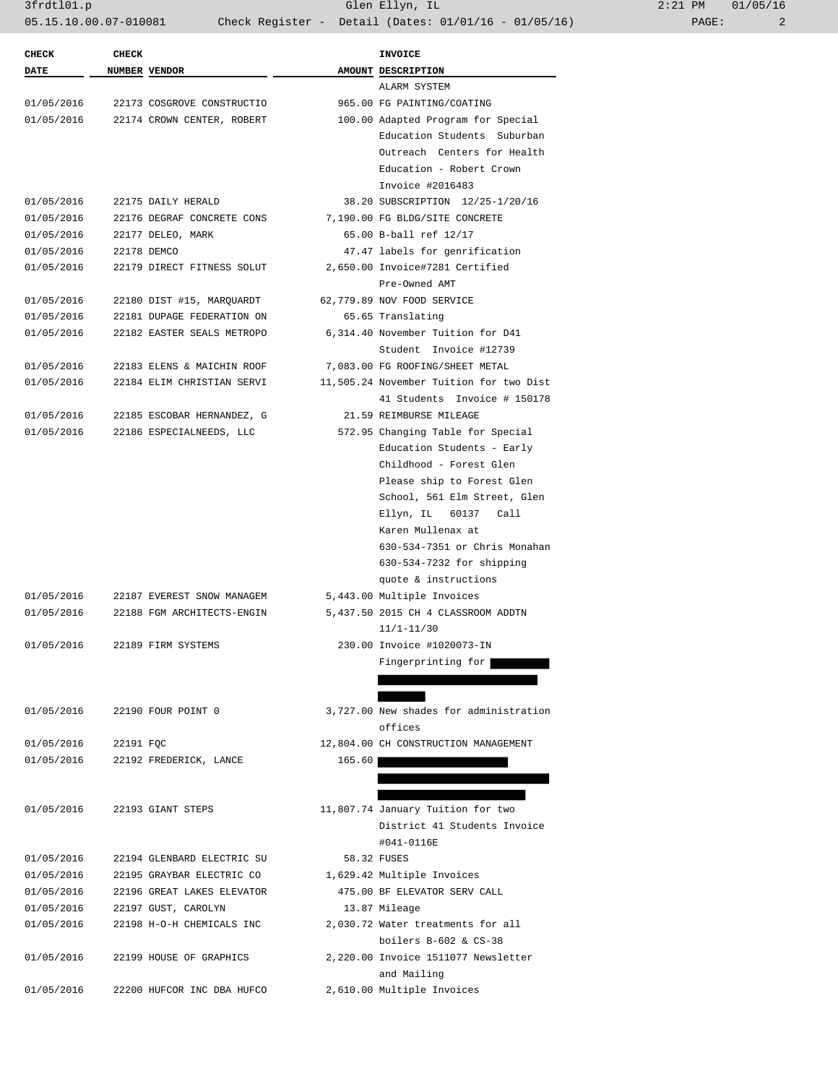3frdtl01.p Glen Ellyn, IL 2:21 PM 01/05/16 05.15.10.00.07-010081 Check Register - Detail (Dates: 01/01/16 - 01/05/16) PAGE: 2

| <b>CHECK</b>         | <b>CHECK</b> |                            |        | <b>INVOICE</b>                          |
|----------------------|--------------|----------------------------|--------|-----------------------------------------|
| DATE                 |              | NUMBER VENDOR              |        | AMOUNT DESCRIPTION                      |
|                      |              |                            |        | ALARM SYSTEM                            |
| 01/05/2016           |              | 22173 COSGROVE CONSTRUCTIO |        | 965.00 FG PAINTING/COATING              |
| 01/05/2016           |              | 22174 CROWN CENTER, ROBERT |        | 100.00 Adapted Program for Special      |
|                      |              |                            |        | Education Students Suburban             |
|                      |              |                            |        | Outreach Centers for Health             |
|                      |              |                            |        | Education - Robert Crown                |
|                      |              |                            |        | Invoice #2016483                        |
| 01/05/2016           |              | 22175 DAILY HERALD         |        | 38.20 SUBSCRIPTION 12/25-1/20/16        |
| 01/05/2016           |              | 22176 DEGRAF CONCRETE CONS |        | 7,190.00 FG BLDG/SITE CONCRETE          |
| 01/05/2016           |              | 22177 DELEO, MARK          |        | 65.00 B-ball ref 12/17                  |
| 01/05/2016           |              | 22178 DEMCO                |        | 47.47 labels for genrification          |
| 01/05/2016           |              | 22179 DIRECT FITNESS SOLUT |        | 2,650.00 Invoice#7281 Certified         |
|                      |              |                            |        | Pre-Owned AMT                           |
| 01/05/2016           |              | 22180 DIST #15, MARQUARDT  |        | 62,779.89 NOV FOOD SERVICE              |
| 01/05/2016           |              | 22181 DUPAGE FEDERATION ON |        | 65.65 Translating                       |
| 01/05/2016           |              | 22182 EASTER SEALS METROPO |        | 6,314.40 November Tuition for D41       |
|                      |              |                            |        | Student Invoice #12739                  |
| 01/05/2016           |              | 22183 ELENS & MAICHIN ROOF |        | 7,083.00 FG ROOFING/SHEET METAL         |
| 01/05/2016           |              | 22184 ELIM CHRISTIAN SERVI |        | 11,505.24 November Tuition for two Dist |
|                      |              |                            |        | 41 Students Invoice # 150178            |
| 01/05/2016           |              | 22185 ESCOBAR HERNANDEZ, G |        | 21.59 REIMBURSE MILEAGE                 |
| 01/05/2016           |              | 22186 ESPECIALNEEDS, LLC   |        | 572.95 Changing Table for Special       |
|                      |              |                            |        | Education Students - Early              |
|                      |              |                            |        | Childhood - Forest Glen                 |
|                      |              |                            |        | Please ship to Forest Glen              |
|                      |              |                            |        | School, 561 Elm Street, Glen            |
|                      |              |                            |        | Ellyn, IL<br>60137<br>Call              |
|                      |              |                            |        | Karen Mullenax at                       |
|                      |              |                            |        | 630-534-7351 or Chris Monahan           |
|                      |              |                            |        | 630-534-7232 for shipping               |
|                      |              |                            |        | quote & instructions                    |
| 01/05/2016           |              | 22187 EVEREST SNOW MANAGEM |        | 5,443.00 Multiple Invoices              |
| 01/05/2016           |              | 22188 FGM ARCHITECTS-ENGIN |        | 5,437.50 2015 CH 4 CLASSROOM ADDTN      |
|                      |              |                            |        | $11/1 - 11/30$                          |
| 01/05/2016           |              | 22189 FIRM SYSTEMS         |        | 230.00 Invoice #1020073-IN              |
|                      |              |                            |        | Fingerprinting for                      |
|                      |              |                            |        |                                         |
|                      |              |                            |        |                                         |
| 01/05/2016           |              | 22190 FOUR POINT 0         |        | 3,727.00 New shades for administration  |
|                      |              |                            |        | offices                                 |
| 01/05/2016 22191 FQC |              |                            |        | 12,804.00 CH CONSTRUCTION MANAGEMENT    |
| 01/05/2016           |              | 22192 FREDERICK, LANCE     | 165.60 |                                         |
|                      |              |                            |        |                                         |
|                      |              |                            |        |                                         |
| 01/05/2016           |              | 22193 GIANT STEPS          |        | 11,807.74 January Tuition for two       |
|                      |              |                            |        | District 41 Students Invoice            |
|                      |              |                            |        | #041-0116E                              |
| 01/05/2016           |              | 22194 GLENBARD ELECTRIC SU |        | 58.32 FUSES                             |
| 01/05/2016           |              | 22195 GRAYBAR ELECTRIC CO  |        | 1,629.42 Multiple Invoices              |
| 01/05/2016           |              | 22196 GREAT LAKES ELEVATOR |        | 475.00 BF ELEVATOR SERV CALL            |
| 01/05/2016           |              | 22197 GUST, CAROLYN        |        | 13.87 Mileage                           |
| 01/05/2016           |              | 22198 H-O-H CHEMICALS INC  |        | 2,030.72 Water treatments for all       |
|                      |              |                            |        | boilers $B-602$ & $CS-38$               |
| 01/05/2016           |              | 22199 HOUSE OF GRAPHICS    |        | 2,220.00 Invoice 1511077 Newsletter     |
|                      |              |                            |        | and Mailing                             |
|                      |              |                            |        |                                         |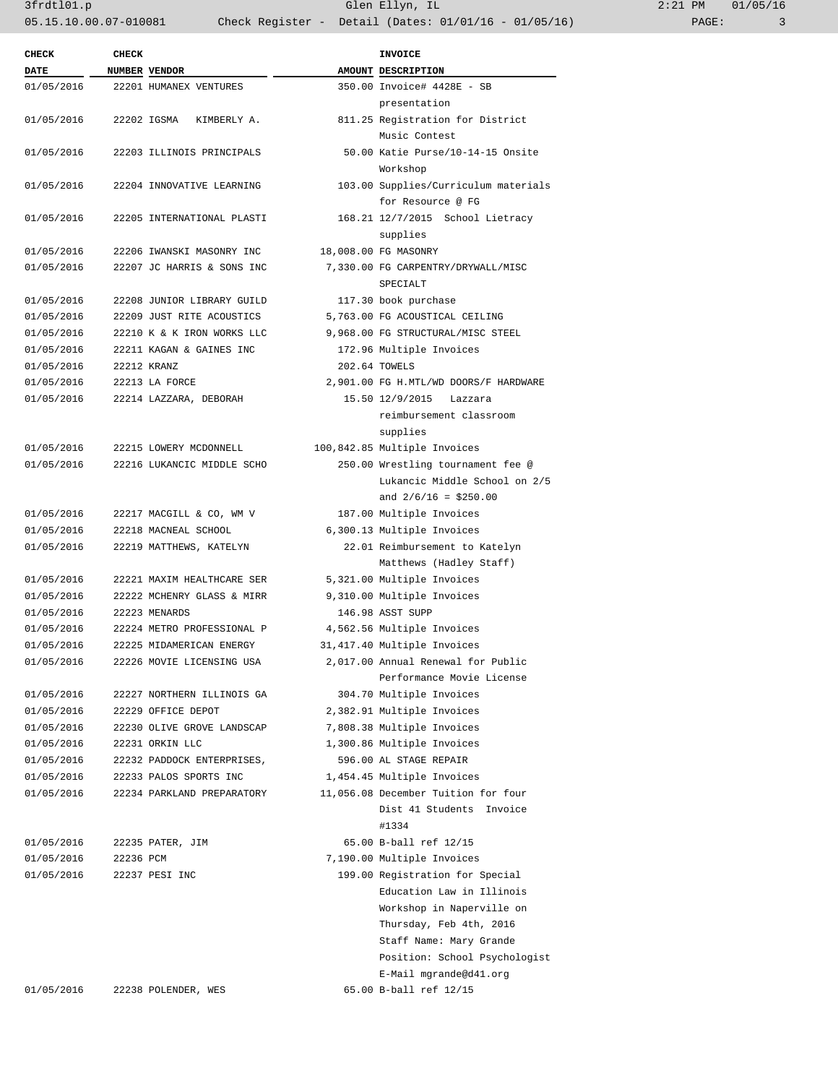3frdtl01.p Glen Ellyn, IL 2:21 PM 01/05/16 05.15.10.00.07-010081 Check Register - Detail (Dates: 01/01/16 - 01/05/16) PAGE: 3

| <b>CHECK</b> | <b>CHECK</b> |                            | <b>INVOICE</b>                        |
|--------------|--------------|----------------------------|---------------------------------------|
| <b>DATE</b>  |              | NUMBER VENDOR              | AMOUNT DESCRIPTION                    |
| 01/05/2016   |              | 22201 HUMANEX VENTURES     | 350.00 Invoice# 4428E - SB            |
|              |              |                            | presentation                          |
| 01/05/2016   |              | 22202 IGSMA KIMBERLY A.    | 811.25 Registration for District      |
|              |              |                            | Music Contest                         |
| 01/05/2016   |              | 22203 ILLINOIS PRINCIPALS  | 50.00 Katie Purse/10-14-15 Onsite     |
|              |              |                            | Workshop                              |
| 01/05/2016   |              | 22204 INNOVATIVE LEARNING  | 103.00 Supplies/Curriculum materials  |
|              |              |                            | for Resource @ FG                     |
| 01/05/2016   |              | 22205 INTERNATIONAL PLASTI | 168.21 12/7/2015 School Lietracy      |
|              |              |                            | supplies                              |
| 01/05/2016   |              | 22206 IWANSKI MASONRY INC  | 18,008.00 FG MASONRY                  |
| 01/05/2016   |              | 22207 JC HARRIS & SONS INC | 7,330.00 FG CARPENTRY/DRYWALL/MISC    |
|              |              |                            | SPECIALT                              |
| 01/05/2016   |              | 22208 JUNIOR LIBRARY GUILD | 117.30 book purchase                  |
| 01/05/2016   |              | 22209 JUST RITE ACOUSTICS  | 5,763.00 FG ACOUSTICAL CEILING        |
| 01/05/2016   |              | 22210 K & K IRON WORKS LLC | 9,968.00 FG STRUCTURAL/MISC STEEL     |
| 01/05/2016   |              | 22211 KAGAN & GAINES INC   | 172.96 Multiple Invoices              |
| 01/05/2016   |              | 22212 KRANZ                | 202.64 TOWELS                         |
| 01/05/2016   |              | 22213 LA FORCE             | 2,901.00 FG H.MTL/WD DOORS/F HARDWARE |
| 01/05/2016   |              | 22214 LAZZARA, DEBORAH     | 15.50 12/9/2015<br>Lazzara            |
|              |              |                            | reimbursement classroom               |
|              |              |                            | supplies                              |
| 01/05/2016   |              | 22215 LOWERY MCDONNELL     | 100,842.85 Multiple Invoices          |
| 01/05/2016   |              | 22216 LUKANCIC MIDDLE SCHO | 250.00 Wrestling tournament fee @     |
|              |              |                            | Lukancic Middle School on 2/5         |
|              |              |                            | and $2/6/16 = $250.00$                |
| 01/05/2016   |              | 22217 MACGILL & CO, WM V   | 187.00 Multiple Invoices              |
| 01/05/2016   |              | 22218 MACNEAL SCHOOL       | 6,300.13 Multiple Invoices            |
| 01/05/2016   |              | 22219 MATTHEWS, KATELYN    | 22.01 Reimbursement to Katelyn        |
|              |              |                            | Matthews (Hadley Staff)               |
| 01/05/2016   |              | 22221 MAXIM HEALTHCARE SER | 5,321.00 Multiple Invoices            |
| 01/05/2016   |              | 22222 MCHENRY GLASS & MIRR | 9,310.00 Multiple Invoices            |
| 01/05/2016   |              | 22223 MENARDS              | 146.98 ASST SUPP                      |
| 01/05/2016   |              | 22224 METRO PROFESSIONAL P | 4,562.56 Multiple Invoices            |
| 01/05/2016   |              | 22225 MIDAMERICAN ENERGY   | 31,417.40 Multiple Invoices           |
| 01/05/2016   |              | 22226 MOVIE LICENSING USA  | 2,017.00 Annual Renewal for Public    |
|              |              |                            | Performance Movie License             |
| 01/05/2016   |              | 22227 NORTHERN ILLINOIS GA | 304.70 Multiple Invoices              |
| 01/05/2016   |              | 22229 OFFICE DEPOT         | 2,382.91 Multiple Invoices            |
| 01/05/2016   |              | 22230 OLIVE GROVE LANDSCAP | 7,808.38 Multiple Invoices            |
| 01/05/2016   |              | 22231 ORKIN LLC            | 1,300.86 Multiple Invoices            |
| 01/05/2016   |              | 22232 PADDOCK ENTERPRISES, | 596.00 AL STAGE REPAIR                |
| 01/05/2016   |              | 22233 PALOS SPORTS INC     | 1,454.45 Multiple Invoices            |
| 01/05/2016   |              | 22234 PARKLAND PREPARATORY | 11,056.08 December Tuition for four   |
|              |              |                            | Dist 41 Students Invoice              |
|              |              |                            | #1334                                 |
| 01/05/2016   |              | 22235 PATER, JIM           | 65.00 B-ball ref 12/15                |
| 01/05/2016   | 22236 PCM    |                            | 7,190.00 Multiple Invoices            |
| 01/05/2016   |              | 22237 PESI INC             | 199.00 Registration for Special       |
|              |              |                            | Education Law in Illinois             |
|              |              |                            | Workshop in Naperville on             |
|              |              |                            | Thursday, Feb 4th, 2016               |
|              |              |                            | Staff Name: Mary Grande               |
|              |              |                            | Position: School Psychologist         |
|              |              |                            | E-Mail mgrande@d41.org                |
| 01/05/2016   |              | 22238 POLENDER, WES        | 65.00 B-ball ref 12/15                |
|              |              |                            |                                       |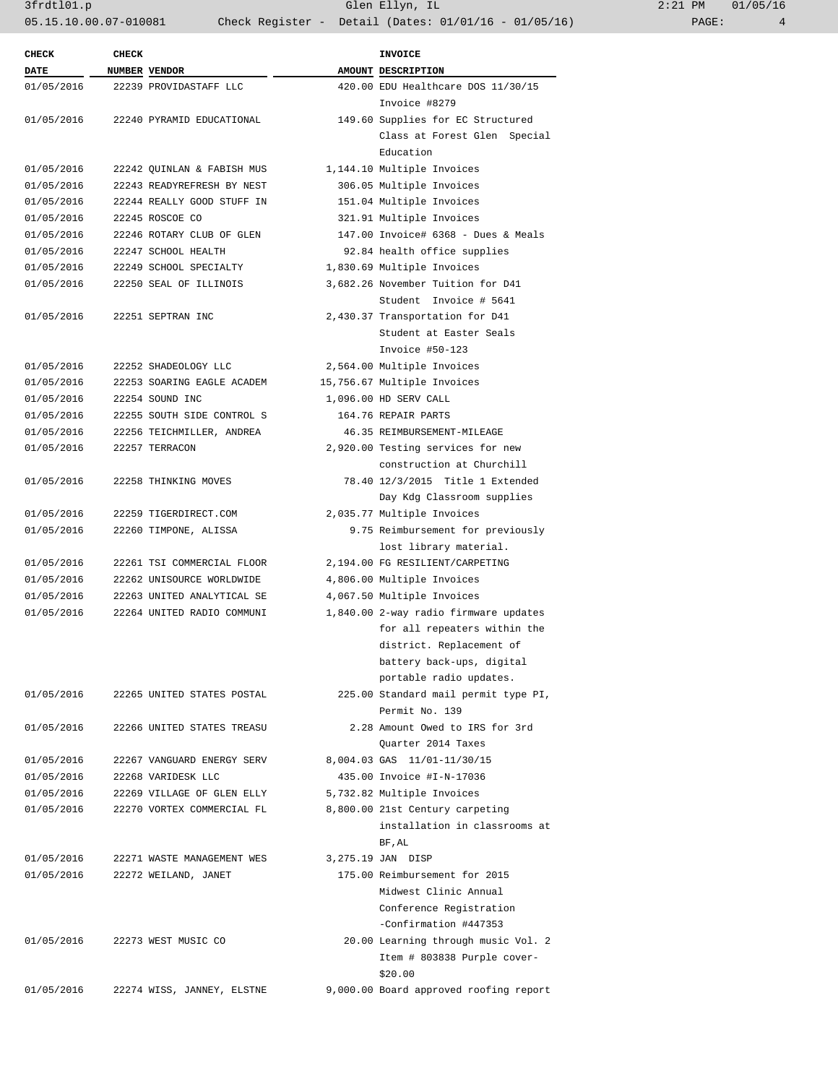3frdtl01.p Glen Ellyn, IL 2:21 PM 01/05/16 05.15.10.00.07-010081 Check Register - Detail (Dates: 01/01/16 - 01/05/16) PAGE: 4

| <b>DATE</b> | <b>CHECK</b> | NUMBER VENDOR              | <b>INVOICE</b><br>AMOUNT DESCRIPTION   |
|-------------|--------------|----------------------------|----------------------------------------|
| 01/05/2016  |              | 22239 PROVIDASTAFF LLC     | 420.00 EDU Healthcare DOS 11/30/15     |
|             |              |                            | Invoice #8279                          |
| 01/05/2016  |              | 22240 PYRAMID EDUCATIONAL  | 149.60 Supplies for EC Structured      |
|             |              |                            | Class at Forest Glen Special           |
|             |              |                            | Education                              |
| 01/05/2016  |              | 22242 QUINLAN & FABISH MUS | 1,144.10 Multiple Invoices             |
| 01/05/2016  |              | 22243 READYREFRESH BY NEST | 306.05 Multiple Invoices               |
| 01/05/2016  |              | 22244 REALLY GOOD STUFF IN | 151.04 Multiple Invoices               |
| 01/05/2016  |              | 22245 ROSCOE CO            | 321.91 Multiple Invoices               |
| 01/05/2016  |              | 22246 ROTARY CLUB OF GLEN  | 147.00 Invoice# 6368 - Dues & Meals    |
| 01/05/2016  |              | 22247 SCHOOL HEALTH        | 92.84 health office supplies           |
| 01/05/2016  |              | 22249 SCHOOL SPECIALTY     | 1,830.69 Multiple Invoices             |
| 01/05/2016  |              | 22250 SEAL OF ILLINOIS     | 3,682.26 November Tuition for D41      |
|             |              |                            | Student Invoice # 5641                 |
|             |              |                            |                                        |
| 01/05/2016  |              | 22251 SEPTRAN INC          | 2,430.37 Transportation for D41        |
|             |              |                            | Student at Easter Seals                |
|             |              |                            | Invoice #50-123                        |
| 01/05/2016  |              | 22252 SHADEOLOGY LLC       | 2,564.00 Multiple Invoices             |
| 01/05/2016  |              | 22253 SOARING EAGLE ACADEM | 15,756.67 Multiple Invoices            |
| 01/05/2016  |              | 22254 SOUND INC            | 1,096.00 HD SERV CALL                  |
| 01/05/2016  |              | 22255 SOUTH SIDE CONTROL S | 164.76 REPAIR PARTS                    |
| 01/05/2016  |              | 22256 TEICHMILLER, ANDREA  | 46.35 REIMBURSEMENT-MILEAGE            |
| 01/05/2016  |              | 22257 TERRACON             | 2,920.00 Testing services for new      |
|             |              |                            | construction at Churchill              |
| 01/05/2016  |              | 22258 THINKING MOVES       | 78.40 12/3/2015 Title 1 Extended       |
|             |              |                            | Day Kdg Classroom supplies             |
| 01/05/2016  |              | 22259 TIGERDIRECT.COM      | 2,035.77 Multiple Invoices             |
| 01/05/2016  |              | 22260 TIMPONE, ALISSA      | 9.75 Reimbursement for previously      |
|             |              |                            | lost library material.                 |
| 01/05/2016  |              | 22261 TSI COMMERCIAL FLOOR | 2,194.00 FG RESILIENT/CARPETING        |
| 01/05/2016  |              | 22262 UNISOURCE WORLDWIDE  | 4,806.00 Multiple Invoices             |
| 01/05/2016  |              | 22263 UNITED ANALYTICAL SE | 4,067.50 Multiple Invoices             |
| 01/05/2016  |              | 22264 UNITED RADIO COMMUNI | 1,840.00 2-way radio firmware updates  |
|             |              |                            | for all repeaters within the           |
|             |              |                            | district. Replacement of               |
|             |              |                            | battery back-ups, digital              |
|             |              |                            | portable radio updates.                |
| 01/05/2016  |              | 22265 UNITED STATES POSTAL | 225.00 Standard mail permit type PI,   |
|             |              |                            | Permit No. 139                         |
| 01/05/2016  |              | 22266 UNITED STATES TREASU | 2.28 Amount Owed to IRS for 3rd        |
|             |              |                            | Quarter 2014 Taxes                     |
| 01/05/2016  |              | 22267 VANGUARD ENERGY SERV | 8,004.03 GAS 11/01-11/30/15            |
| 01/05/2016  |              | 22268 VARIDESK LLC         | 435.00 Invoice #I-N-17036              |
| 01/05/2016  |              | 22269 VILLAGE OF GLEN ELLY | 5,732.82 Multiple Invoices             |
| 01/05/2016  |              | 22270 VORTEX COMMERCIAL FL | 8,800.00 21st Century carpeting        |
|             |              |                            | installation in classrooms at          |
|             |              |                            | BF, AL                                 |
| 01/05/2016  |              | 22271 WASTE MANAGEMENT WES | 3,275.19 JAN DISP                      |
| 01/05/2016  |              | 22272 WEILAND, JANET       | 175.00 Reimbursement for 2015          |
|             |              |                            | Midwest Clinic Annual                  |
|             |              |                            | Conference Registration                |
|             |              |                            | -Confirmation #447353                  |
| 01/05/2016  |              | 22273 WEST MUSIC CO        | 20.00 Learning through music Vol. 2    |
|             |              |                            | Item # 803838 Purple cover-            |
|             |              |                            | \$20.00                                |
|             |              |                            | 9,000.00 Board approved roofing report |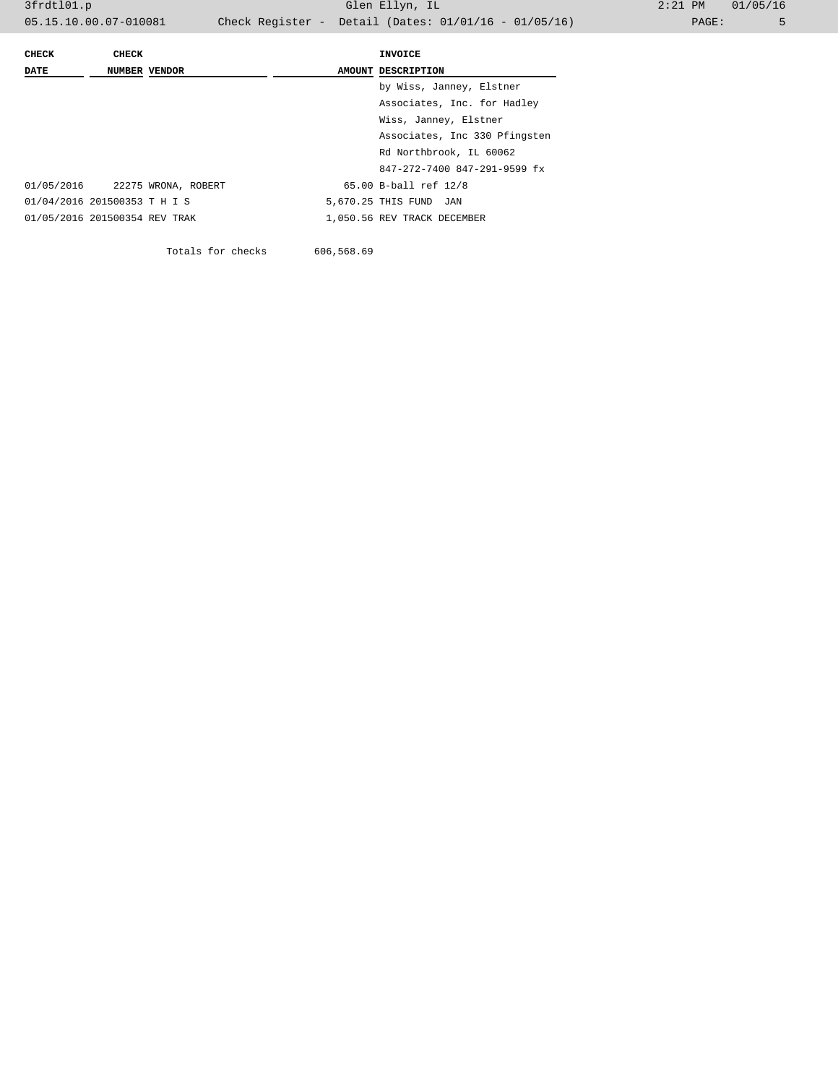| <b>CHECK</b>                  | <b>CHECK</b>         |                     | INVOICE                       |
|-------------------------------|----------------------|---------------------|-------------------------------|
| <b>DATE</b>                   | <b>NUMBER VENDOR</b> |                     | AMOUNT DESCRIPTION            |
|                               |                      |                     | by Wiss, Janney, Elstner      |
|                               |                      |                     | Associates, Inc. for Hadley   |
|                               |                      |                     | Wiss, Janney, Elstner         |
|                               |                      |                     | Associates, Inc 330 Pfingsten |
|                               |                      |                     | Rd Northbrook, IL 60062       |
|                               |                      |                     | 847-272-7400 847-291-9599 fx  |
| 01/05/2016                    |                      | 22275 WRONA, ROBERT | 65.00 B-ball ref 12/8         |
| 01/04/2016 201500353 T H I S  |                      |                     | 5,670.25 THIS FUND JAN        |
| 01/05/2016 201500354 REV TRAK |                      |                     | 1,050.56 REV TRACK DECEMBER   |
|                               |                      |                     |                               |

Totals for checks 606,568.69